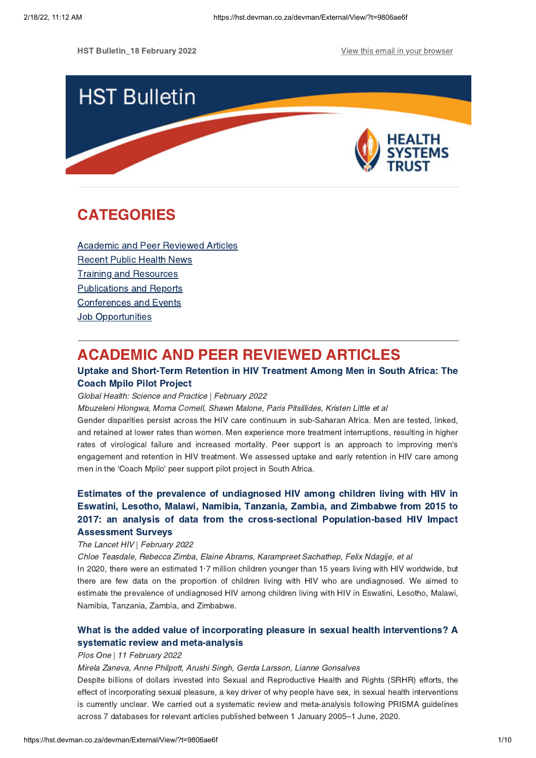HST Bulletin 18 February 2022 **View this email in your [browser](https://hst.devman.co.za/devman/external/?t=22099a66&t1=9806ae6f)** 



# **CATEGORIES** CATEGORIES<br>CATEGORIES

Academic and Peer [Reviewed](#page-0-0) Articles [Recent](#page-2-0) Public Health News Training and Resources [Publications](#page-7-0) and Reports [Conferences](#page-7-1) and Events **Job [Opportunities](#page-9-0)** 

# <span id="page-0-0"></span>**ACADEMIC AND PEER REVIEWED ARTICLES**

## Uptake and Short-Term Retention in HIV Treatment Among Men in South Africa: The **Coach Mpilo Pilot Project**

# Global Health: Science and Practice | February 2022

Mbuzeleni Hlongwa, Morna Cornell, Shawn Malone, Paris Pitsillides, Kristen Little et al

Gender disparities persist across the HIV care continuum in sub-Saharan Africa. Men are tested, linked, and retained at lower rates than women. Men experience more treatment interruptions, resulting in higher rates of virological failure and increased mortality. Peer support is an approach to improving men's engagement and retention in HIV treatment. We assessed uptake and early retention in HIV care among men in the 'Coach Mpilo' peer support pilot project in South Africa.

# Estimates of the prevalence of undiagnosed HIV among children living with HIV in 2017: an analysis of data from the cross-sectional Population-based HIV Impact **Assessment Survevs**

# The Lancet HIV | February 2022

Chloe Teasdale, Rebecca Zimba, Elaine Abrams, Karampreet Sachathep, Felix Ndagije, et al

In 2020, there were an estimated 1.7 million children younger than 15 years living with HIV worldwide, but there are few data on the proportion of children living with HIV who are undiagnosed. We aimed to estimate the prevalence of undiagnosed HIV among children living with HIV in Eswatini, Lesotho, Malawi, Namibia, Tanzania, Zambia, and Zimbabwe.

# What is the added value of incorporating pleasure in sexual health [interventions?](https://hst.devman.co.za/devman/external/?t=2952e631) A systematic review and meta-analysis

# systematic review and meta-analysis Plos One | 11 February 2022

## Mirela Zaneva, Anne Philpott, Arushi Singh, Gerda Larsson, Lianne Gonsalves

Despite billions of dollars invested into Sexual and Reproductive Health and Rights (SRHR) efforts, the effect of incorporating sexual pleasure, a key driver of why people have sex, in sexual health interventions is currently unclear. We carried out a systematic review and meta-analysis following PRISMA guidelines across 7 databases for relevant articles published between 1 January 2005–1 June, 2020.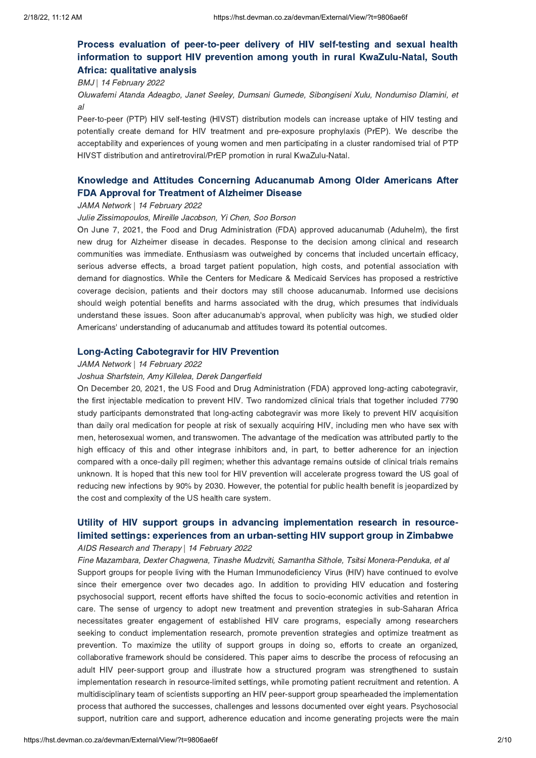# Process evaluation of peer-to-peer delivery of HIV self-testing and sexual health information to support HIV prevention among youth in rural KwaZulu-Natal, South Africa: qualitative analysis

# Africa: qualitative analysis BMJ | 14 February 2022

Oluwafemi Atanda Adeagbo, Janet Seeley, Dumsani Gumede, Sibongiseni Xulu, Nondumiso Dlamini, et al

Peer-to-peer (PTP) HIV self-testing (HIVST) distribution models can increase uptake of HIV testing and potentially create demand for HIV treatment and pre-exposure prophylaxis (PrEP). We describe the acceptability and experiences of young women and men participating in a cluster randomised trial of PTP HIVST distribution and antiretroviral/PrEP promotion in rural KwaZulu-Natal.

# Knowledge and Attitudes Concerning [Aducanumab](https://hst.devman.co.za/devman/external/?t=ca7e6f) Among Older Americans After

## FDA Approval for Treatment of Alzheimer Disease JAMA Network | 14 February 2022

### Julie Zissimopoulos, Mireille Jacobson, Yi Chen, Soo Borson

On June 7, 2021, the Food and Drug Administration (FDA) approved aducanumab (Aduhelm), the first new drug for Alzheimer disease in decades. Response to the decision among clinical and research communities was immediate. Enthusiasm was outweighed by concerns that included uncertain efficacy, serious adverse effects, a broad target patient population, high costs, and potential association with demand for diagnostics. While the Centers for Medicare & Medicaid Services has proposed a restrictive coverage decision, patients and their doctors may still choose aducanumab. Informed use decisions should weigh potential benefits and harms associated with the drug, which presumes that individuals understand these issues. Soon after aducanumab's approval, when publicity was high, we studied older Americans' understanding of aducanumab and attitudes toward its potential outcomes.

# Long-Acting Cabotegravir for HIV Prevention JAMA Network | 14 February 2022

### Joshua Sharfstein, Amy Killelea, Derek Dangerfield

On December 20, 2021, the US Food and Drug Administration (FDA) approved long-acting cabotegravir, the first injectable medication to prevent HIV. Two randomized clinical trials that together included 7790 study participants demonstrated that long-acting cabotegravir was more likely to prevent HIV acquisition than daily oral medication for people at risk of sexually acquiring HIV, including men who have sex with men, heterosexual women, and transwomen. The advantage of the medication was attributed partly to the high efficacy of this and other integrase inhibitors and, in part, to better adherence for an injection compared with a once-daily pill regimen; whether this advantage remains outside of clinical trials remains unknown. It is hoped that this new tool for HIV prevention will accelerate progress toward the US goal of reducing new infections by 90% by 2030. However, the potential for public health benefit is jeopardized by the cost and complexity of the US health care system.

# Utility of HIV support groups in advancing [implementation](https://hst.devman.co.za/devman/external/?t=8dd96ad) research in resource-<br>limited settings: experiences from an urban-setting HIV support group in Zimbabwe limited settings: experiences from an urban-setting HIV support group in Zimbabwe AIDS Research and Therapy | 14 February 2022

Fine Mazambara, Dexter Chagwena, Tinashe Mudzviti, Samantha Sithole, Tsitsi Monera-Penduka, et al Support groups for people living with the Human Immunodeficiency Virus (HIV) have continued to evolve since their emergence over two decades ago. In addition to providing HIV education and fostering psychosocial support, recent efforts have shifted the focus to socio-economic activities and retention in care. The sense of urgency to adopt new treatment and prevention strategies in sub-Saharan Africa necessitates greater engagement of established HIV care programs, especially among researchers seeking to conduct implementation research, promote prevention strategies and optimize treatment as prevention. To maximize the utility of support groups in doing so, efforts to create an organized, collaborative framework should be considered. This paper aims to describe the process of refocusing an adult HIV peer-support group and illustrate how a structured program was strengthened to sustain implementation research in resource-limited settings, while promoting patient recruitment and retention. A multidisciplinary team of scientists supporting an HIV peer-support group spearheaded the implementation process that authored the successes, challenges and lessons documented over eight years. Psychosocial support, nutrition care and support, adherence education and income generating projects were the main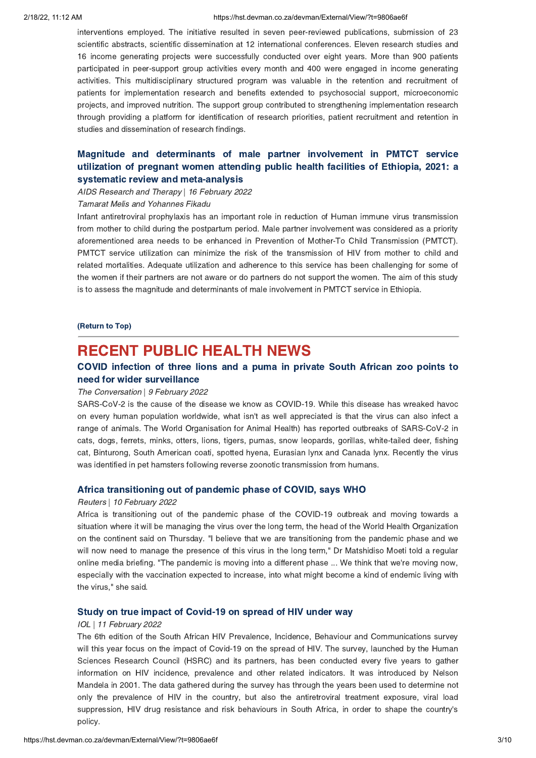### 2/18/22, 11:12 AM https://hst.devman.co.za/devman/External/View/?t=9806ae6f

interventions employed. The initiative resulted in seven peer-reviewed publications, submission of 23 scientific abstracts, scientific dissemination at 12 international conferences. Eleven research studies and 16 income generating projects were successfully conducted over eight years. More than 900 patients participated in peer-support group activities every month and 400 were engaged in income generating activities. This multidisciplinary structured program was valuable in the retention and recruitment of patients for implementation research and benefits extended to psychosocial support, microeconomic projects, and improved nutrition. The support group contributed to strengthening implementation research through providing a platform for identification of research priorities, patient recruitment and retention in studies and dissemination of research findings.

# Magnitude and [determinants](https://hst.devman.co.za/devman/external/?t=12bbd38e) of male partner involvement in PMTCT service systematic review and meta-analysis

# systematic review and meta-analysis AIDS Research and Therapy | 16 February 2022

### Tamarat Melis and Yohannes Fikadu

Infant antiretroviral prophylaxis has an important role in reduction of Human immune virus transmission from mother to child during the postpartum period. Male partner involvement was considered as a priority aforementioned area needs to be enhanced in Prevention of Mother-To Child Transmission (PMTCT). PMTCT service utilization can minimize the risk of the transmission of HIV from mother to child and related mortalities. Adequate utilization and adherence to this service has been challenging for some of the women if their partners are not aware or do partners do not support the women. The aim of this study is to assess the magnitude and determinants of male involvement in PMTCT service in Ethiopia.

 $\overline{\phantom{a}}$ 

# <span id="page-2-0"></span>**RECENT PUBLIC HEALTH NEWS**

## COVID infection of three lions and a puma in private South African zoo points to need for wider surveillance

## The Conversation | 9 February 2022

SARS-CoV-2 is the cause of the disease we know as COVID-19. While this disease has wreaked havoc on every human population worldwide, what isn't as well appreciated is that the virus can also infect a range of animals. The World Organisation for Animal Health) has reported outbreaks of SARS-CoV-2 in cats, dogs, ferrets, minks, otters, lions, tigers, pumas, snow leopards, gorillas, white-tailed deer, fishing cat, Binturong, South American coati, spotted hyena, Eurasian lynx and Canada lynx. Recently the virus was identified in pet hamsters following reverse zoonotic transmission from humans.

# Africa transitioning out of pandemic phase of COVID, says WHO Reuters | 10 February 2022

Africa is transitioning out of the pandemic phase of the COVID-19 outbreak and moving towards a situation where it will be managing the virus over the long term, the head of the World Health Organization on the continent said on Thursday. "I believe that we are transitioning from the pandemic phase and we will now need to manage the presence of this virus in the long term," Dr Matshidiso Moeti told a regular online media briefing. "The pandemic is moving into a different phase ... We think that we're moving now, especially with the vaccination expected to increase, into what might become a kind of endemic living with the virus," she said.

## Study on true impact of Covid-19 on spread of HIV under way IOL | 11 February 2022

The 6th edition of the South African HIV Prevalence, Incidence, Behaviour and Communications survey will this year focus on the impact of Covid-19 on the spread of HIV. The survey, launched by the Human Sciences Research Council (HSRC) and its partners, has been conducted every five years to gather information on HIV incidence, prevalence and other related indicators. It was introduced by Nelson Mandela in 2001. The data gathered during the survey has through the years been used to determine not only the prevalence of HIV in the country, but also the antiretroviral treatment exposure, viral load suppression, HIV drug resistance and risk behaviours in South Africa, in order to shape the country's policy.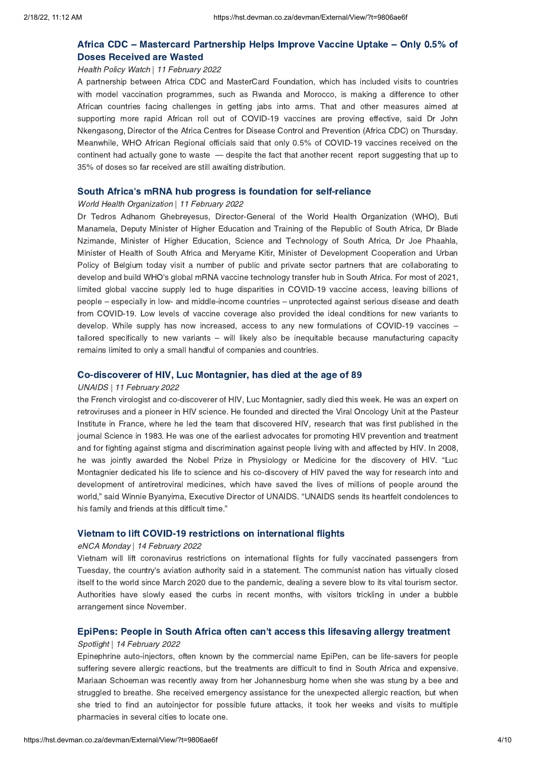# Africa CDC – Mastercard [Partnership](https://hst.devman.co.za/devman/external/?t=709f4e74) Helps Improve Vaccine Uptake – Only 0.5% of

# Doses Received are Wasted Health Policy Watch | 11 February 2022

A partnership between Africa CDC and MasterCard Foundation, which has included visits to countries with model vaccination programmes, such as Rwanda and Morocco, is making a difference to other African countries facing challenges in getting jabs into arms. That and other measures aimed at supporting more rapid African roll out of COVID-19 vaccines are proving effective, said Dr John Nkengasong, Director of the Africa Centres for Disease Control and Prevention (Africa CDC) on Thursday. Meanwhile, WHO African Regional officials said that only 0.5% of COVID-19 vaccines received on the continent had actually gone to waste — despite the fact that another recent report suggesting that up to 35% of doses so far received are still awaiting distribution.

## South Africa['](https://hst.devman.co.za/devman/external/?t=80bd7197)s mRNA hub progress is foundation for self-reliance

## World Health Organization | 11 February 2022

Dr Tedros Adhanom Ghebreyesus, Director-General of the World Health Organization (WHO), Buti Manamela, Deputy Minister of Higher Education and Training of the Republic of South Africa, Dr Blade Nzimande, Minister of Higher Education, Science and Technology of South Africa, Dr Joe Phaahla, Minister of Health of South Africa and Meryame Kitir, Minister of Development Cooperation and Urban Policy of Belgium today visit a number of public and private sector partners that are collaborating to develop and build WHO's global mRNA vaccine technology transfer hub in South Africa. For most of 2021, limited global vaccine supply led to huge disparities in COVID-19 vaccine access, leaving billions of people – especially in low- and middle-income countries – unprotected against serious disease and death from COVID-19. Low levels of vaccine coverage also provided the ideal conditions for new variants to develop. While supply has now increased, access to any new formulations of COVID-19 vaccines – tailored specifically to new variants – will likely also be inequitable because manufacturing capacity remains limited to only a small handful of companies and countries.

# Co-discoverer of HIV, Luc Montagnier, has died at the age of 89 UNAIDS | 11 February 2022

the French virologist and co-discoverer of HIV, Luc Montagnier, sadly died this week. He was an expert on retroviruses and a pioneer in HIV science. He founded and directed the Viral Oncology Unit at the Pasteur Institute in France, where he led the team that discovered HIV, research that was first published in the journal Science in 1983. He was one of the earliest advocates for promoting HIV prevention and treatment and for fighting against stigma and discrimination against people living with and affected by HIV. In 2008, he was jointly awarded the Nobel Prize in Physiology or Medicine for the discovery of HIV. "Luc Montagnier dedicated his life to science and his co-discovery of HIV paved the way for research into and development of antiretroviral medicines, which have saved the lives of millions of people around the world," said Winnie Byanyima, Executive Director of UNAIDS. "UNAIDS sends its heartfelt condolences to his family and friends at this difficult time."

## Vietnam to lift COVID-19 restrictions on international flights eNCA Monday | 14 February 2022

Vietnam will lift coronavirus restrictions on international flights for fully vaccinated passengers from Tuesday, the country's aviation authority said in a statement. The communist nation has virtually closed itself to the world since March 2020 due to the pandemic, dealing a severe blow to its vital tourism sector. Authorities have slowly eased the curbs in recent months, with visitors trickling in under a bubble arrangement since November.

## EpiPens: People in South Africa often can['](https://hst.devman.co.za/devman/external/?t=5029fef0)t access this lifesaving allergy treatment

## Spotlight | 14 February 2022

Epinephrine auto-injectors, often known by the commercial name EpiPen, can be life-savers for people suffering severe allergic reactions, but the treatments are difficult to find in South Africa and expensive. Mariaan Schoeman was recently away from her Johannesburg home when she was stung by a bee and struggled to breathe. She received emergency assistance for the unexpected allergic reaction, but when she tried to find an autoinjector for possible future attacks, it took her weeks and visits to multiple pharmacies in several cities to locate one.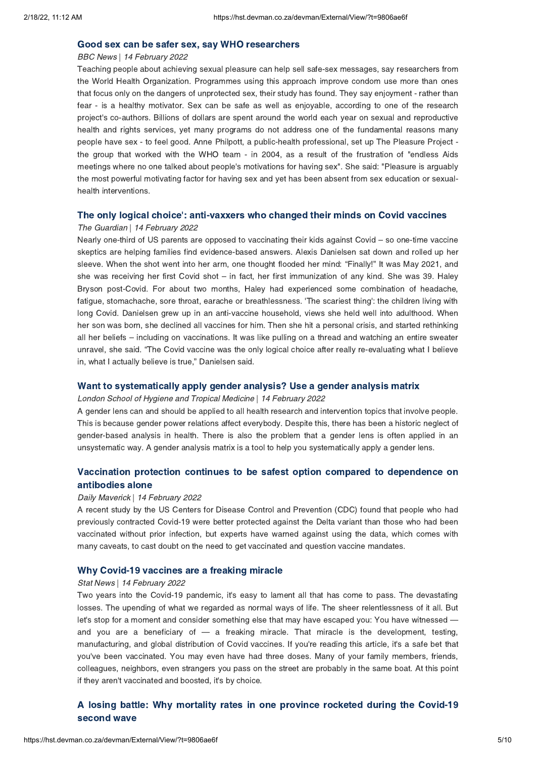# BBC News | 14 February 2022

Teaching people about achieving sexual pleasure can help sell safe-sex messages, say researchers from the World Health Organization. Programmes using this approach improve condom use more than ones that focus only on the dangers of unprotected sex, their study has found. They say enjoyment - rather than fear - is a healthy motivator. Sex can be safe as well as enjoyable, according to one of the research project's co-authors. Billions of dollars are spent around the world each year on sexual and reproductive health and rights services, yet many programs do not address one of the fundamental reasons many people have sex - to feel good. Anne Philpott, a public-health professional, set up The Pleasure Project the group that worked with the WHO team - in 2004, as a result of the frustration of "endless Aids meetings where no one talked about people's motivations for having sex". She said: "Pleasure is arguably the most powerful motivating factor for having sex and yet has been absent from sex education or sexualhealth interventions.

## The only logical choice['](https://hst.devman.co.za/devman/external/?t=bec4a8b2): anti-vaxxers who changed their minds on Covid vaccines

### The Guardian | 14 February 2022

Nearly one-third of US parents are opposed to vaccinating their kids against Covid – so one-time vaccine skeptics are helping families find evidence-based answers. Alexis Danielsen sat down and rolled up her sleeve. When the shot went into her arm, one thought flooded her mind: "Finally!" It was May 2021, and she was receiving her first Covid shot – in fact, her first immunization of any kind. She was 39. Haley Bryson post-Covid. For about two months, Haley had experienced some combination of headache, fatigue, stomachache, sore throat, earache or breathlessness. 'The scariest thing': the children living with long Covid. Danielsen grew up in an anti-vaccine household, views she held well into adulthood. When her son was born, she declined all vaccines for him. Then she hit a personal crisis, and started rethinking all her beliefs – including on vaccinations. It was like pulling on a thread and watching an entire sweater unravel, she said. "The Covid vaccine was the only logical choice after really re-evaluating what I believe in, what I actually believe is true," Danielsen said.

# Want to systematically apply gender analysis? Use a gender analysis matrix London School of Hygiene and Tropical Medicine | 14 February 2022

A gender lens can and should be applied to all health research and intervention topics that involve people. This is because gender power relations affect everybody. Despite this, there has been a historic neglect of gender-based analysis in health. There is also the problem that a gender lens is often applied in an unsystematic way. A gender analysis matrix is a tool to help you systematically apply a gender lens.

# Vaccination protection continues to be safest option compared to [dependence](https://hst.devman.co.za/devman/external/?t=16ff696c) on

## antibodies alone Daily Maverick | 14 February 2022

A recent study by the US Centers for Disease Control and Prevention (CDC) found that people who had previously contracted Covid-19 were better protected against the Delta variant than those who had been vaccinated without prior infection, but experts have warned against using the data, which comes with many caveats, to cast doubt on the need to get vaccinated and question vaccine mandates.

## Why Covid-19 vaccines are a freaking miracle Stat News | 14 February 2022

Two years into the Covid-19 pandemic, it's easy to lament all that has come to pass. The devastating losses. The upending of what we regarded as normal ways of life. The sheer relentlessness of it all. But let's stop for a moment and consider something else that may have escaped you: You have witnessed and you are a beneficiary of  $-$  a freaking miracle. That miracle is the development, testing, manufacturing, and global distribution of Covid vaccines. If you're reading this article, it's a safe bet that you've been vaccinated. You may even have had three doses. Many of your family members, friends, colleagues, neighbors, even strangers you pass on the street are probably in the same boat. At this point if they aren't vaccinated and boosted, it's by choice.

# $\mathsf{second\ wave}$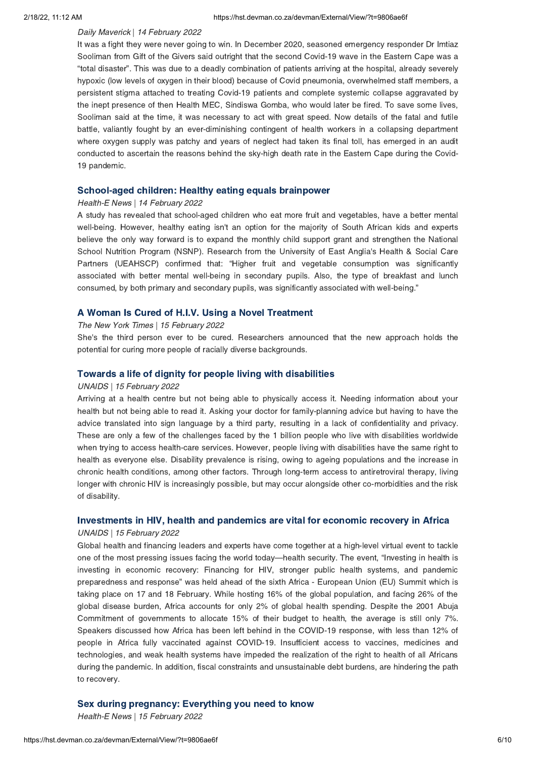## Daily Maverick | 14 February 2022

It was a fight they were never going to win. In December 2020, seasoned emergency responder Dr Imtiaz Sooliman from Gift of the Givers said outright that the second Covid-19 wave in the Eastern Cape was a "total disaster". This was due to a deadly combination of patients arriving at the hospital, already severely hypoxic (low levels of oxygen in their blood) because of Covid pneumonia, overwhelmed staff members, a persistent stigma attached to treating Covid-19 patients and complete systemic collapse aggravated by the inept presence of then Health MEC, Sindiswa Gomba, who would later be fired. To save some lives, Sooliman said at the time, it was necessary to act with great speed. Now details of the fatal and futile battle, valiantly fought by an ever-diminishing contingent of health workers in a collapsing department where oxygen supply was patchy and years of neglect had taken its final toll, has emerged in an audit conducted to ascertain the reasons behind the sky-high death rate in the Eastern Cape during the Covid-19 pandemic.

# School-aged children: Healthy eating equals brainpower Health-E News | 14 February 2022

A study has revealed that school-aged children who eat more fruit and vegetables, have a better mental well-being. However, healthy eating isn't an option for the majority of South African kids and experts believe the only way forward is to expand the monthly child support grant and strengthen the National School Nutrition Program (NSNP). Research from the University of East Anglia's Health & Social Care Partners (UEAHSCP) confirmed that: "Higher fruit and vegetable consumption was significantly associated with better mental well-being in secondary pupils. Also, the type of breakfast and lunch consumed, by both primary and secondary pupils, was significantly associated with well-being."

# The New York Times | 15 February 2022

She's the third person ever to be cured. Researchers announced that the new approach holds the potential for curing more people of racially diverse backgrounds.

# UNAIDS | 15 February 2022

Arriving at a health centre but not being able to physically access it. Needing information about your health but not being able to read it. Asking your doctor for family-planning advice but having to have the advice translated into sign language by a third party, resulting in a lack of confidentiality and privacy. These are only a few of the challenges faced by the 1 billion people who live with disabilities worldwide when trying to access health-care services. However, people living with disabilities have the same right to health as everyone else. Disability prevalence is rising, owing to ageing populations and the increase in chronic health conditions, among other factors. Through long-term access to antiretroviral therapy, living longer with chronic HIV is increasingly possible, but may occur alongside other co-morbidities and the risk of disability.

# Investments in HIV, health and pandemics are vital for economic recovery in Africa UNAIDS | 15 February 2022

Global health and financing leaders and experts have come together at a high-level virtual event to tackle one of the most pressing issues facing the world today—health security. The event, "Investing in health is investing in economic recovery: Financing for HIV, stronger public health systems, and pandemic preparedness and response" was held ahead of the sixth Africa - European Union (EU) Summit which is taking place on 17 and 18 February. While hosting 16% of the global population, and facing 26% of the global disease burden, Africa accounts for only 2% of global health spending. Despite the 2001 Abuja Commitment of governments to allocate 15% of their budget to health, the average is still only 7%. Speakers discussed how Africa has been left behind in the COVID-19 response, with less than 12% of people in Africa fully vaccinated against COVID-19. Insufficient access to vaccines, medicines and technologies, and weak health systems have impeded the realization of the right to health of all Africans during the pandemic. In addition, fiscal constraints and unsustainable debt burdens, are hindering the path to recovery.

Sex during pregnancy: Everything you need to know Health-E News | 15 February 2022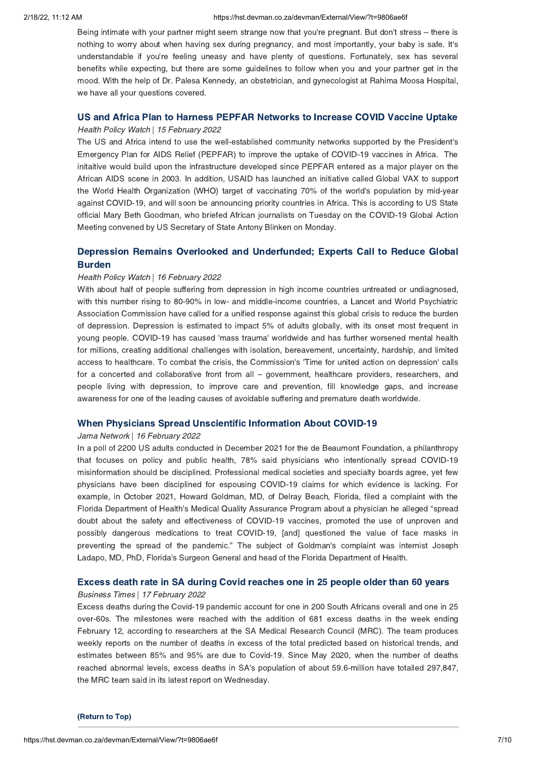### 2/18/22, 11:12 AM https://hst.devman.co.za/devman/External/View/?t=9806ae6f

Being intimate with your partner might seem strange now that you're pregnant. But don't stress – there is nothing to worry about when having sex during pregnancy, and most importantly, your baby is safe. It's understandable if you're feeling uneasy and have plenty of questions. Fortunately, sex has several benefits while expecting, but there are some guidelines to follow when you and your partner get in the mood. With the help of Dr. Palesa Kennedy, an obstetrician, and gynecologist at Rahima Moosa Hospital, we have all your questions covered.

# US and Africa Plan to Harnes Pepper Covid-19 and Africa Plan to Increase Covid-19 and the Uptake<br>Health Policy Watch | 15 February 2022

The US and Africa intend to use the well-established community networks supported by the President's Emergency Plan for AIDS Relief (PEPFAR) to improve the uptake of COVID-19 vaccines in Africa. The initaitive would build upon the infrastructure developed since PEPFAR entered as a major player on the African AIDS scene in 2003. In addition, USAID has launched an initiative called Global VAX to support the World Health Organization (WHO) target of vaccinating 70% of the world's population by mid-year against COVID-19, and will soon be announcing priority countries in Africa. This is according to US State official Mary Beth Goodman, who briefed African journalists on Tuesday on the COVID-19 Global Action Meeting convened by US Secretary of State Antony Blinken on Monday.

# Depression Remains Overlooked and [Underfunded;](https://hst.devman.co.za/devman/external/?t=d4c6f352) Experts Call to Reduce Global

# Health Policy Watch | 16 February 2022

With about half of people suffering from depression in high income countries untreated or undiagnosed, with this number rising to 80-90% in low- and middle-income countries, a Lancet and World Psychiatric Association Commission have called for a unified response against this global crisis to reduce the burden of depression. Depression is estimated to impact 5% of adults globally, with its onset most frequent in young people. COVID-19 has caused 'mass trauma' worldwide and has further worsened mental health for millions, creating additional challenges with isolation, bereavement, uncertainty, hardship, and limited access to healthcare. To combat the crisis, the Commission's 'Time for united action on depression' calls for a concerted and collaborative front from all – government, healthcare providers, researchers, and people living with depression, to improve care and prevention, fill knowledge gaps, and increase awareness for one of the leading causes of avoidable suffering and premature death worldwide.

## When Physicians Spread Unscientific Information About COVID-19 Jama Network | 16 February 2022

In a poll of 2200 US adults conducted in December 2021 for the de Beaumont Foundation, a philanthropy that focuses on policy and public health, 78% said physicians who intentionally spread COVID-19 misinformation should be disciplined. Professional medical societies and specialty boards agree, yet few physicians have been disciplined for espousing COVID-19 claims for which evidence is lacking. For example, in October 2021, Howard Goldman, MD, of Delray Beach, Florida, filed a complaint with the Florida Department of Health's Medical Quality Assurance Program about a physician he alleged "spread doubt about the safety and effectiveness of COVID-19 vaccines, promoted the use of unproven and possibly dangerous medications to treat COVID-19, [and] questioned the value of face masks in preventing the spread of the pandemic." The subject of Goldman's complaint was internist Joseph Ladapo, MD, PhD, Florida's Surgeon General and head of the Florida Department of Health.

# Excess death rate in SA during Covid reaches one in 25 people older than 60 years Business Times | 17 February 2022

Excess deaths during the Covid-19 pandemic account for one in 200 South Africans overall and one in 25 over-60s. The milestones were reached with the addition of 681 excess deaths in the week ending February 12, according to researchers at the SA Medical Research Council (MRC). The team produces weekly reports on the number of deaths in excess of the total predicted based on historical trends, and estimates between 85% and 95% are due to Covid-19. Since May 2020, when the number of deaths reached abnormal levels, excess deaths in SA's population of about 59.6-million have totalled 297,847, the MRC team said in its latest report on Wednesday.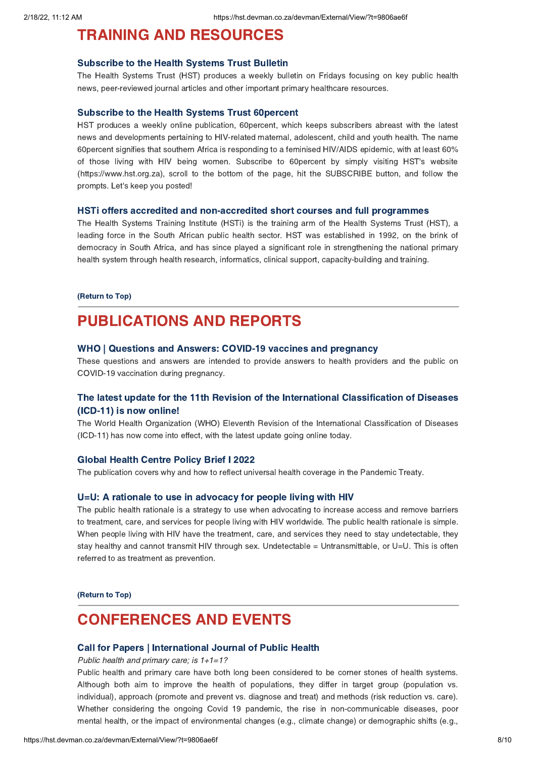# <span id="page-7-0"></span>**TRAINING AND [RESOURCES](https://hst.devman.co.za/devman/external/?t=fb7cdfe)**<br>Subscribe to the Health Systems Trust Bulletin

Subscribe to the Health Systems Trust Bulletin The Health Systems Trust (HST) produces a weekly bulletin on Fridays focusing on key public health news, peer-reviewed journal articles and other important primary healthcare resources.

Subscribe to the Health Systems Trust 60percent HST produces a weekly online publication, 60percent, which keeps subscribers abreast with the latest news and developments pertaining to HIV-related maternal, adolescent, child and youth health. The name 60percent signifies that southern Africa is responding to a feminised HIV/AIDS epidemic, with at least 60% of those living with HIV being women. Subscribe to 60percent by simply visiting HST's website (https://www.hst.org.za), scroll to the bottom of the page, hit the SUBSCRIBE button, and follow the prompts. Let's keep you posted!

The Health Systems Training Institute (HSTi) is the training arm of the Health Systems Trust (HST), a leading force in the South African public health sector. HST was established in 1992, on the brink of democracy in South Africa, and has since played a significant role in strengthening the national primary health system through health research, informatics, clinical support, capacity-building and training.

# $\overline{\phantom{a}}$

# **PUBLICATIONS AND REPORTS**

## WHO | Questions and Answers: COVID-19 vaccines and pregnancy

These questions and answers are intended to provide answers to health providers and the public on COVID-19 vaccination during pregnancy.

# The latest update for the 11th Revision of the International [Classification](https://hst.devman.co.za/devman/external/?t=773b9db) of Diseases (ICD-11) is now online!

The World Health Organization (WHO) Eleventh Revision of the International Classification of Diseases (ICD-11) has now come into effect, with the latest update going online today.

The publication covers why and how to reflect universal health coverage in the Pandemic Treaty.

The public health rationale is a strategy to use when advocating to increase access and remove barriers to treatment, care, and services for people living with HIV worldwide. The public health rationale is simple. When people living with HIV have the treatment, care, and services they need to stay undetectable, they stay healthy and cannot transmit HIV through sex. Undetectable = Untransmittable, or U=U. This is often referred to as treatment as prevention.

(Return to Top)

# <span id="page-7-1"></span>**CONFERENCES AND EVENTS**

## Call for Papers | International Journal of Public Health

Call for Papers | International Journal of Public Health Public health and primary care; is 1+1=1?

Public health and primary care have both long been considered to be corner stones of health systems. Although both aim to improve the health of populations, they differ in target group (population vs. individual), approach (promote and prevent vs. diagnose and treat) and methods (risk reduction vs. care). Whether considering the ongoing Covid 19 pandemic, the rise in non-communicable diseases, poor mental health, or the impact of environmental changes (e.g., climate change) or demographic shifts (e.g.,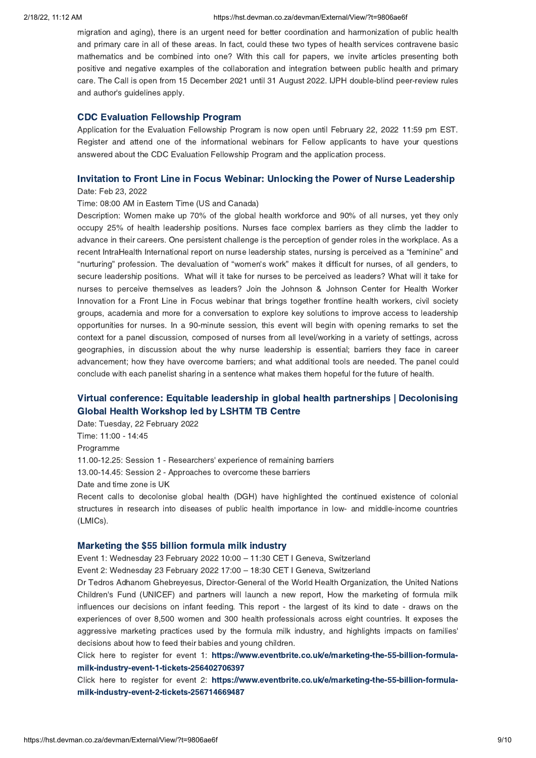migration and aging), there is an urgent need for better coordination and harmonization of public health and primary care in all of these areas. In fact, could these two types of health services contravene basic mathematics and be combined into one? With this call for papers, we invite articles presenting both positive and negative examples of the collaboration and integration between public health and primary care. The Call is open from 15 December 2021 until 31 August 2022. IJPH double-blind peer-review rules and author's guidelines apply.

CDC Evaluation Fellowship Program Application for the Evaluation Fellowship Program is now open until February 22, 2022 11:59 pm EST. Register and attend one of the informational webinars for Fellow applicants to have your questions answered about the CDC Evaluation Fellowship Program and the application process.

# Invitation to Front Line in Focus Webinar: Unlocking the Power of Nurse Leadership Date: Feb 23, 2022

## Time: 08:00 AM in Eastern Time (US and Canada)

Description: Women make up 70% of the global health workforce and 90% of all nurses, yet they only occupy 25% of health leadership positions. Nurses face complex barriers as they climb the ladder to advance in their careers. One persistent challenge is the perception of gender roles in the workplace. As a recent IntraHealth International report on nurse leadership states, nursing is perceived as a "feminine" and "nurturing" profession. The devaluation of "women's work" makes it difficult for nurses, of all genders, to secure leadership positions. What will it take for nurses to be perceived as leaders? What will it take for nurses to perceive themselves as leaders? Join the Johnson & Johnson Center for Health Worker Innovation for a Front Line in Focus webinar that brings together frontline health workers, civil society groups, academia and more for a conversation to explore key solutions to improve access to leadership opportunities for nurses. In a 90-minute session, this event will begin with opening remarks to set the context for a panel discussion, composed of nurses from all level/working in a variety of settings, across geographies, in discussion about the why nurse leadership is essential; barriers they face in career advancement; how they have overcome barriers; and what additional tools are needed. The panel could conclude with each panelist sharing in a sentence what makes them hopeful for the future of health.

# Virtual conference: Equitable leadership in global health partnerships | [Decolonising](https://hst.devman.co.za/devman/external/?t=f5064de4)

Global Health Workshop Centre, Centre, 2022<br>Date: Tuesday, 22 February 2022 Time: 11:00 - 14:45 Programme 11.00-12.25: Session 1 - Researchers' experience of remaining barriers 13.00-14.45: Session 2 - Approaches to overcome these barriers Date and time zone is UK Recent calls to decolonise global health (DGH) have highlighted the continued existence of colonial

# structures in research into diseases of public health importance in low- and middle-income countries (LMICs).

marketing the \$55 billion formula milk industry.<br>Event 1: Wednesday 23 February 2022 10:00 – 11:30 CET I Geneva, Switzerland

Event 2: Wednesday 23 February 2022 17:00 – 18:30 CET I Geneva, Switzerland

Dr Tedros Adhanom Ghebreyesus, Director-General of the World Health Organization, the United Nations Children's Fund (UNICEF) and partners will launch a new report, How the marketing of formula milk influences our decisions on infant feeding. This report - the largest of its kind to date - draws on the experiences of over 8,500 women and 300 health professionals across eight countries. It exposes the aggressive marketing practices used by the formula milk industry, and highlights impacts on families' decisions about how to feed their babies and young children.

Click here to register for event 1: https://www.eventbrite.co.uk/e/marketing-the-55-billion-formulamilk-industry-event-1-tickets-256402706397

 $C$ lick here to register for event 2: **https://w** milk-industry-event-2-tickets-256714669487